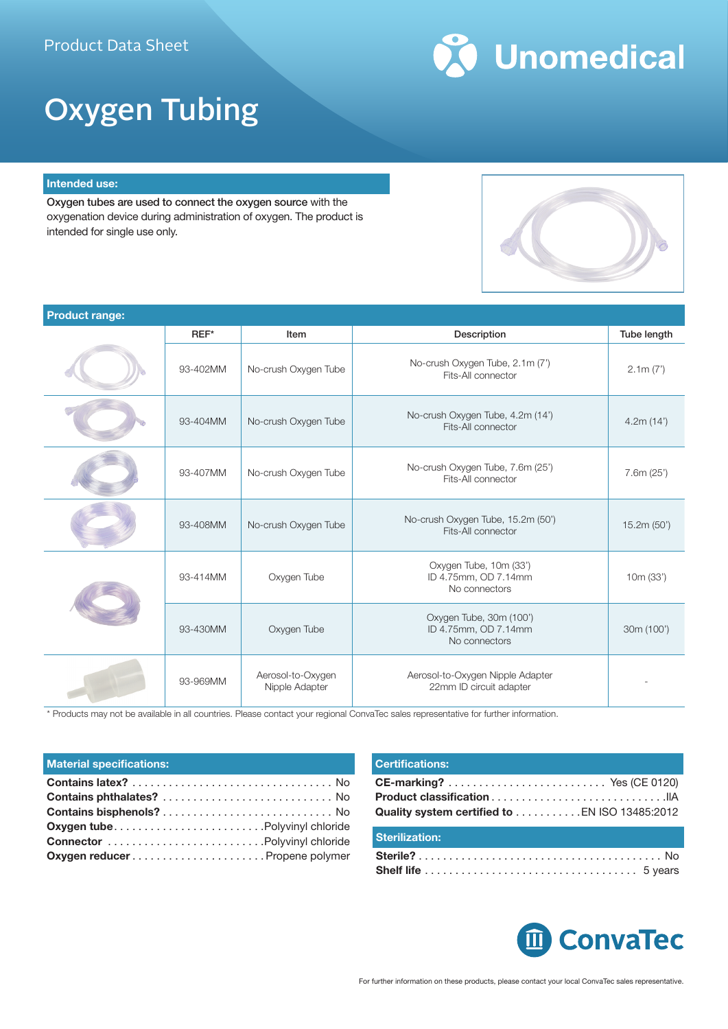

# Oxygen Tubing

#### **Intended use:**

Oxygen tubes are used to connect the oxygen source with the oxygenation device during administration of oxygen. The product is intended for single use only.

| <b>Product range:</b> |          |                                     |                                                                  |             |
|-----------------------|----------|-------------------------------------|------------------------------------------------------------------|-------------|
|                       | $REF^*$  | Item                                | Description                                                      | Tube length |
|                       | 93-402MM | No-crush Oxygen Tube                | No-crush Oxygen Tube, 2.1m (7')<br>Fits-All connector            | 2.1m(7')    |
|                       | 93-404MM | No-crush Oxygen Tube                | No-crush Oxygen Tube, 4.2m (14')<br>Fits-All connector           | 4.2m(14')   |
|                       | 93-407MM | No-crush Oxygen Tube                | No-crush Oxygen Tube, 7.6m (25')<br>Fits-All connector           | 7.6m(25')   |
|                       | 93-408MM | No-crush Oxygen Tube                | No-crush Oxygen Tube, 15.2m (50')<br>Fits-All connector          | 15.2m(50')  |
|                       | 93-414MM | Oxygen Tube                         | Oxygen Tube, 10m (33')<br>ID 4.75mm, OD 7.14mm<br>No connectors  | 10m (33')   |
|                       | 93-430MM | Oxygen Tube                         | Oxygen Tube, 30m (100')<br>ID 4.75mm, OD 7.14mm<br>No connectors | 30m (100')  |
|                       | 93-969MM | Aerosol-to-Oxygen<br>Nipple Adapter | Aerosol-to-Oxygen Nipple Adapter<br>22mm ID circuit adapter      |             |

\* Products may not be available in all countries. Please contact your regional ConvaTec sales representative for further information.

#### **Material specifications:**

| <b>Oxygen tubePolyvinyl chloride</b>  |  |
|---------------------------------------|--|
|                                       |  |
| <b>Oxygen reducer</b> Propene polymer |  |

### **Certifications:**

| Quality system certified to EN ISO 13485:2012 |  |
|-----------------------------------------------|--|

### **Sterilization: Sterile?**. . No **Shelf life**. . 5 years